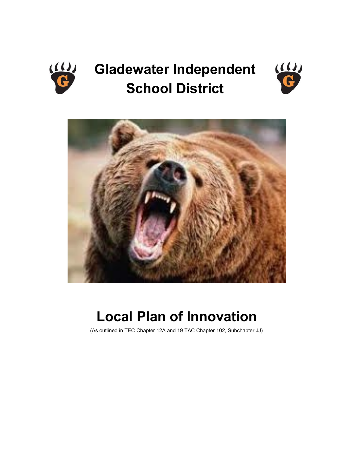

# **Gladewater Independent School District**





## **Local Plan of Innovation**

(As outlined in TEC Chapter 12A and 19 TAC Chapter 102, Subchapter JJ)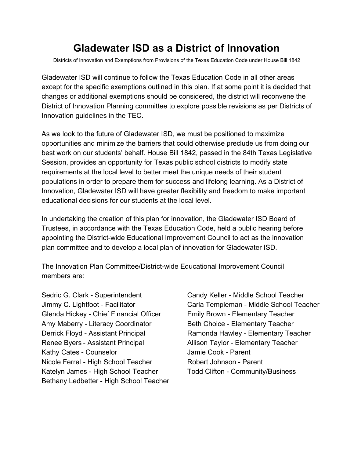### **Gladewater ISD as a District of Innovation**

Districts of Innovation and Exemptions from Provisions of the Texas Education Code under House Bill 1842

Gladewater ISD will continue to follow the Texas Education Code in all other areas except for the specific exemptions outlined in this plan. If at some point it is decided that changes or additional exemptions should be considered, the district will reconvene the District of Innovation Planning committee to explore possible revisions as per Districts of Innovation guidelines in the TEC.

As we look to the future of Gladewater ISD, we must be positioned to maximize opportunities and minimize the barriers that could otherwise preclude us from doing our best work on our students' behalf. House Bill 1842, passed in the 84th Texas Legislative Session, provides an opportunity for Texas public school districts to modify state requirements at the local level to better meet the unique needs of their student populations in order to prepare them for success and lifelong learning. As a District of Innovation, Gladewater ISD will have greater flexibility and freedom to make important educational decisions for our students at the local level.

In undertaking the creation of this plan for innovation, the Gladewater ISD Board of Trustees, in accordance with the Texas Education Code, held a public hearing before appointing the District-wide Educational Improvement Council to act as the innovation plan committee and to develop a local plan of innovation for Gladewater ISD.

The Innovation Plan Committee/District-wide Educational Improvement Council members are:

Sedric G. Clark - Superintendent Candy Keller - Middle School Teacher Glenda Hickey - Chief Financial Officer Emily Brown - Elementary Teacher Amy Maberry - Literacy Coordinator **Beth Choice - Elementary Teacher** Derrick Floyd - Assistant Principal Ramonda Hawley - Elementary Teacher Renee Byers - Assistant Principal Allison Taylor - Elementary Teacher Kathy Cates - Counselor **Value 2018** Jamie Cook - Parent Nicole Ferrel - High School Teacher Robert Johnson - Parent Katelyn James - High School Teacher Todd Clifton - Community/Business Bethany Ledbetter - High School Teacher

Jimmy C. Lightfoot - Facilitator Carla Templeman - Middle School Teacher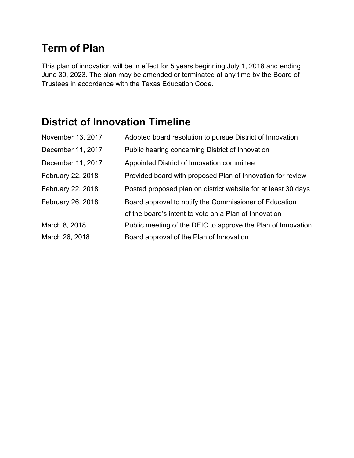### **Term of Plan**

This plan of innovation will be in effect for 5 years beginning July 1, 2018 and ending June 30, 2023. The plan may be amended or terminated at any time by the Board of Trustees in accordance with the Texas Education Code.

### **District of Innovation Timeline**

| November 13, 2017 | Adopted board resolution to pursue District of Innovation     |
|-------------------|---------------------------------------------------------------|
| December 11, 2017 | Public hearing concerning District of Innovation              |
| December 11, 2017 | Appointed District of Innovation committee                    |
| February 22, 2018 | Provided board with proposed Plan of Innovation for review    |
| February 22, 2018 | Posted proposed plan on district website for at least 30 days |
| February 26, 2018 | Board approval to notify the Commissioner of Education        |
|                   | of the board's intent to vote on a Plan of Innovation         |
| March 8, 2018     | Public meeting of the DEIC to approve the Plan of Innovation  |
| March 26, 2018    | Board approval of the Plan of Innovation                      |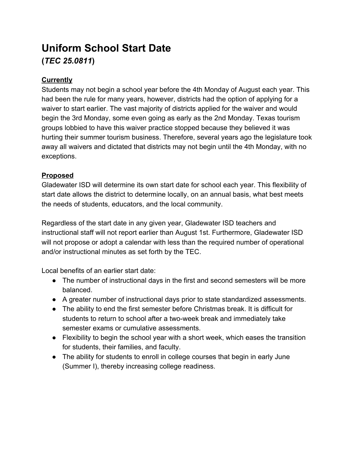### **Uniform School Start Date (***TEC 25.0811***)**

#### **Currently**

Students may not begin a school year before the 4th Monday of August each year. This had been the rule for many years, however, districts had the option of applying for a waiver to start earlier. The vast majority of districts applied for the waiver and would begin the 3rd Monday, some even going as early as the 2nd Monday. Texas tourism groups lobbied to have this waiver practice stopped because they believed it was hurting their summer tourism business. Therefore, several years ago the legislature took away all waivers and dictated that districts may not begin until the 4th Monday, with no exceptions.

#### **Proposed**

Gladewater ISD will determine its own start date for school each year. This flexibility of start date allows the district to determine locally, on an annual basis, what best meets the needs of students, educators, and the local community.

Regardless of the start date in any given year, Gladewater ISD teachers and instructional staff will not report earlier than August 1st. Furthermore, Gladewater ISD will not propose or adopt a calendar with less than the required number of operational and/or instructional minutes as set forth by the TEC.

Local benefits of an earlier start date:

- The number of instructional days in the first and second semesters will be more balanced.
- A greater number of instructional days prior to state standardized assessments.
- The ability to end the first semester before Christmas break. It is difficult for students to return to school after a two-week break and immediately take semester exams or cumulative assessments.
- Flexibility to begin the school year with a short week, which eases the transition for students, their families, and faculty.
- The ability for students to enroll in college courses that begin in early June (Summer I), thereby increasing college readiness.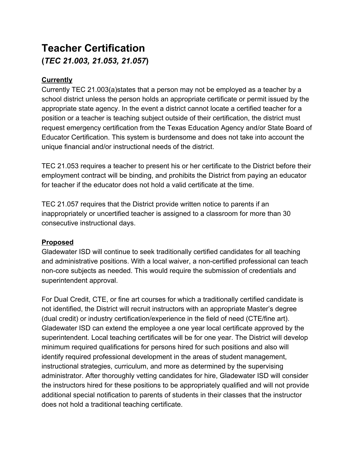### **Teacher Certification (***TEC 21.003, 21.053, 21.057***)**

#### **Currently**

Currently TEC 21.003(a)states that a person may not be employed as a teacher by a school district unless the person holds an appropriate certificate or permit issued by the appropriate state agency. In the event a district cannot locate a certified teacher for a position or a teacher is teaching subject outside of their certification, the district must request emergency certification from the Texas Education Agency and/or State Board of Educator Certification. This system is burdensome and does not take into account the unique financial and/or instructional needs of the district.

TEC 21.053 requires a teacher to present his or her certificate to the District before their employment contract will be binding, and prohibits the District from paying an educator for teacher if the educator does not hold a valid certificate at the time.

TEC 21.057 requires that the District provide written notice to parents if an inappropriately or uncertified teacher is assigned to a classroom for more than 30 consecutive instructional days.

#### **Proposed**

Gladewater ISD will continue to seek traditionally certified candidates for all teaching and administrative positions. With a local waiver, a non-certified professional can teach non-core subjects as needed. This would require the submission of credentials and superintendent approval.

For Dual Credit, CTE, or fine art courses for which a traditionally certified candidate is not identified, the District will recruit instructors with an appropriate Master's degree (dual credit) or industry certification/experience in the field of need (CTE/fine art). Gladewater ISD can extend the employee a one year local certificate approved by the superintendent. Local teaching certificates will be for one year. The District will develop minimum required qualifications for persons hired for such positions and also will identify required professional development in the areas of student management, instructional strategies, curriculum, and more as determined by the supervising administrator. After thoroughly vetting candidates for hire, Gladewater ISD will consider the instructors hired for these positions to be appropriately qualified and will not provide additional special notification to parents of students in their classes that the instructor does not hold a traditional teaching certificate.